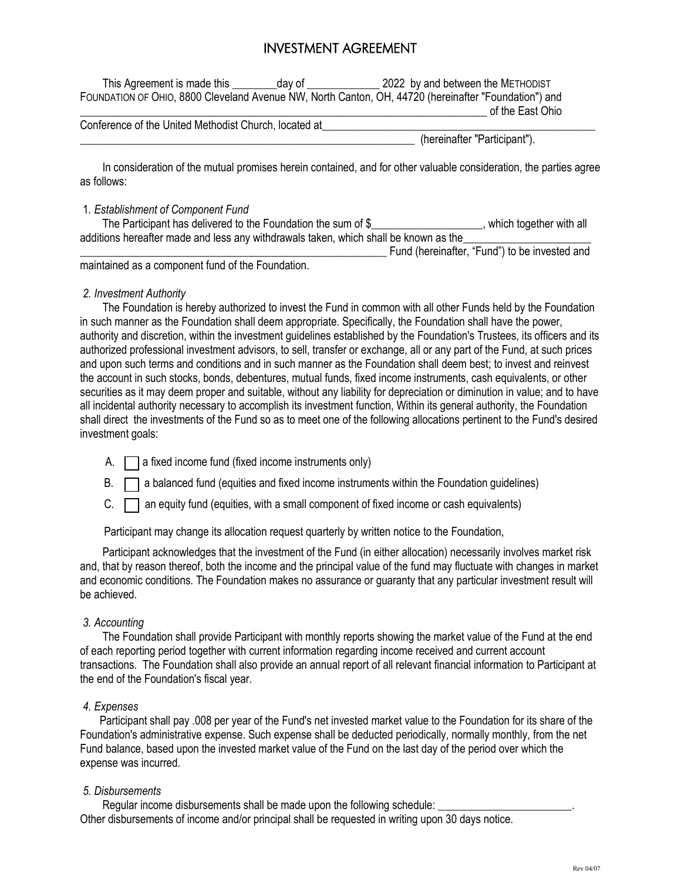# INVESTMENT AGREEMENT

This Agreement is made this day of  $\qquad 2022$  by and between the METHODIST FOUNDATION OF OHIO, 8800 Cleveland Avenue NW, North Canton, OH, 44720 (hereinafter "Foundation") and of the East Ohio

Conference of the United Methodist Church, located at

\_\_\_\_\_\_\_\_\_\_\_\_\_\_\_\_\_\_\_\_\_\_\_\_\_\_\_\_\_\_\_\_\_\_\_\_\_\_\_\_\_\_\_\_\_\_\_\_\_\_\_\_\_\_\_\_\_\_\_\_ (hereinafter "Participant").

 In consideration of the mutual promises herein contained, and for other valuable consideration, the parties agree as follows:

### 1*. Establishment of Component Fund*

The Participant has delivered to the Foundation the sum of \$\_\_\_\_\_\_\_\_\_\_\_\_\_\_\_\_\_\_, which together with all additions hereafter made and less any withdrawals taken, which shall be known as the

Fund (hereinafter, "Fund") to be invested and

maintained as a component fund of the Foundation.

### *2. Investment Authority*

 The Foundation is hereby authorized to invest the Fund in common with all other Funds held by the Foundation in such manner as the Foundation shall deem appropriate. Specifically, the Foundation shall have the power, authority and discretion, within the investment guidelines established by the Foundation's Trustees, its officers and its authorized professional investment advisors, to sell, transfer or exchange, all or any part of the Fund, at such prices and upon such terms and conditions and in such manner as the Foundation shall deem best; to invest and reinvest the account in such stocks, bonds, debentures, mutual funds, fixed income instruments, cash equivalents, or other securities as it may deem proper and suitable, without any liability for depreciation or diminution in value; and to have all incidental authority necessary to accomplish its investment function, Within its general authority, the Foundation shall direct the investments of the Fund so as to meet one of the following allocations pertinent to the Fund's desired investment goals:

- A.  $\Box$  a fixed income fund (fixed income instruments only)
- $B. \Box$  a balanced fund (equities and fixed income instruments within the Foundation guidelines)
- $C.$   $\Box$  an equity fund (equities, with a small component of fixed income or cash equivalents)

Participant may change its allocation request quarterly by written notice to the Foundation,

 Participant acknowledges that the investment of the Fund (in either allocation) necessarily involves market risk and, that by reason thereof, both the income and the principal value of the fund may fluctuate with changes in market and economic conditions. The Foundation makes no assurance or guaranty that any particular investment result will be achieved.

### *3. Accounting*

 The Foundation shall provide Participant with monthly reports showing the market value of the Fund at the end of each reporting period together with current information regarding income received and current account transactions. The Foundation shall also provide an annual report of all relevant financial information to Participant at the end of the Foundation's fiscal year.

### *4. Expenses*

 Participant shall pay .008 per year of the Fund's net invested market value to the Foundation for its share of the Foundation's administrative expense. Such expense shall be deducted periodically, normally monthly, from the net Fund balance, based upon the invested market value of the Fund on the last day of the period over which the expense was incurred.

### *5. Disbursements*

Regular income disbursements shall be made upon the following schedule:

Other disbursements of income and/or principal shall be requested in writing upon 30 days notice.